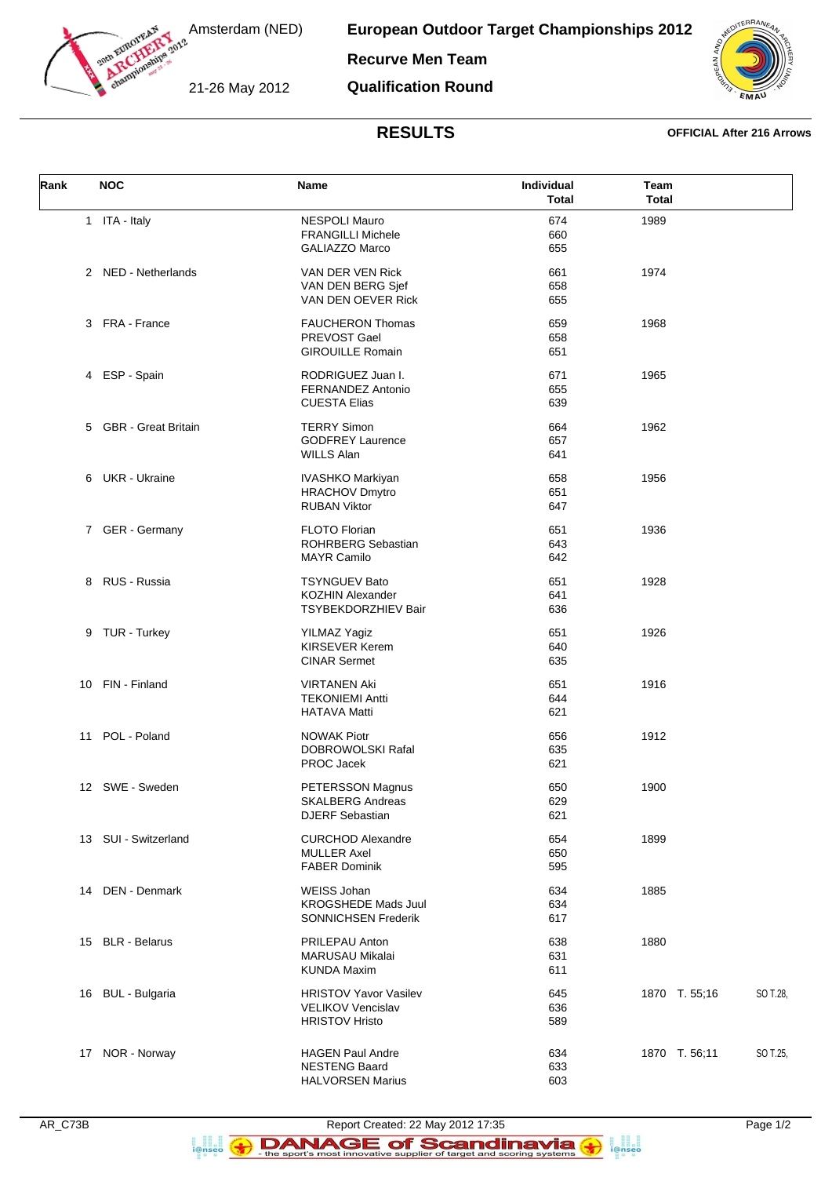

Amsterdam (NED)

**European Outdoor Target Championships 2012**

**Recurve Men Team**

21-26 May 2012

**Qualification Round**



## **RESULTS OFFICIAL After 216 Arrows**

| Rank | <b>NOC</b>            | Name                                                                              | Individual<br><b>Total</b> | Team<br><b>Total</b> |          |
|------|-----------------------|-----------------------------------------------------------------------------------|----------------------------|----------------------|----------|
|      | 1 ITA - Italy         | <b>NESPOLI Mauro</b><br><b>FRANGILLI Michele</b><br><b>GALIAZZO Marco</b>         | 674<br>660<br>655          | 1989                 |          |
|      | 2 NED - Netherlands   | VAN DER VEN Rick<br>VAN DEN BERG Sjef<br>VAN DEN OEVER Rick                       | 661<br>658<br>655          | 1974                 |          |
|      | 3 FRA - France        | <b>FAUCHERON Thomas</b><br>PREVOST Gael<br><b>GIROUILLE Romain</b>                | 659<br>658<br>651          | 1968                 |          |
|      | 4 ESP - Spain         | RODRIGUEZ Juan I.<br>FERNANDEZ Antonio<br><b>CUESTA Elias</b>                     | 671<br>655<br>639          | 1965                 |          |
|      | 5 GBR - Great Britain | <b>TERRY Simon</b><br><b>GODFREY Laurence</b><br><b>WILLS Alan</b>                | 664<br>657<br>641          | 1962                 |          |
|      | 6 UKR - Ukraine       | <b>IVASHKO Markiyan</b><br><b>HRACHOV Dmytro</b><br><b>RUBAN Viktor</b>           | 658<br>651<br>647          | 1956                 |          |
|      | 7 GER - Germany       | <b>FLOTO Florian</b><br><b>ROHRBERG Sebastian</b><br><b>MAYR Camilo</b>           | 651<br>643<br>642          | 1936                 |          |
|      | 8 RUS - Russia        | <b>TSYNGUEV Bato</b><br><b>KOZHIN Alexander</b><br>TSYBEKDORZHIEV Bair            | 651<br>641<br>636          | 1928                 |          |
|      | 9 TUR - Turkey        | <b>YILMAZ Yagiz</b><br><b>KIRSEVER Kerem</b><br><b>CINAR Sermet</b>               | 651<br>640<br>635          | 1926                 |          |
|      | 10 FIN - Finland      | <b>VIRTANEN Aki</b><br><b>TEKONIEMI Antti</b><br><b>HATAVA Matti</b>              | 651<br>644<br>621          | 1916                 |          |
|      | 11 POL - Poland       | <b>NOWAK Piotr</b><br>DOBROWOLSKI Rafal<br>PROC Jacek                             | 656<br>635<br>621          | 1912                 |          |
|      | 12 SWE - Sweden       | PETERSSON Magnus<br><b>SKALBERG Andreas</b><br><b>DJERF Sebastian</b>             | 650<br>629<br>621          | 1900                 |          |
|      | 13 SUI - Switzerland  | <b>CURCHOD Alexandre</b><br><b>MULLER Axel</b><br><b>FABER Dominik</b>            | 654<br>650<br>595          | 1899                 |          |
|      | 14 DEN - Denmark      | <b>WEISS Johan</b><br><b>KROGSHEDE Mads Juul</b><br><b>SONNICHSEN Frederik</b>    | 634<br>634<br>617          | 1885                 |          |
|      | 15 BLR - Belarus      | PRILEPAU Anton<br><b>MARUSAU Mikalai</b><br><b>KUNDA Maxim</b>                    | 638<br>631<br>611          | 1880                 |          |
|      | 16 BUL - Bulgaria     | <b>HRISTOV Yavor Vasilev</b><br><b>VELIKOV Vencislav</b><br><b>HRISTOV Hristo</b> | 645<br>636<br>589          | 1870 T. 55;16        | SO T.28, |
|      | 17 NOR - Norway       | <b>HAGEN Paul Andre</b><br><b>NESTENG Baard</b><br><b>HALVORSEN Marius</b>        | 634<br>633<br>603          | 1870 T. 56;11        | SO T.25, |

a ana an<br>i@nseo

 $\left( \bigodot$ 

a anglica<br>i@nseo